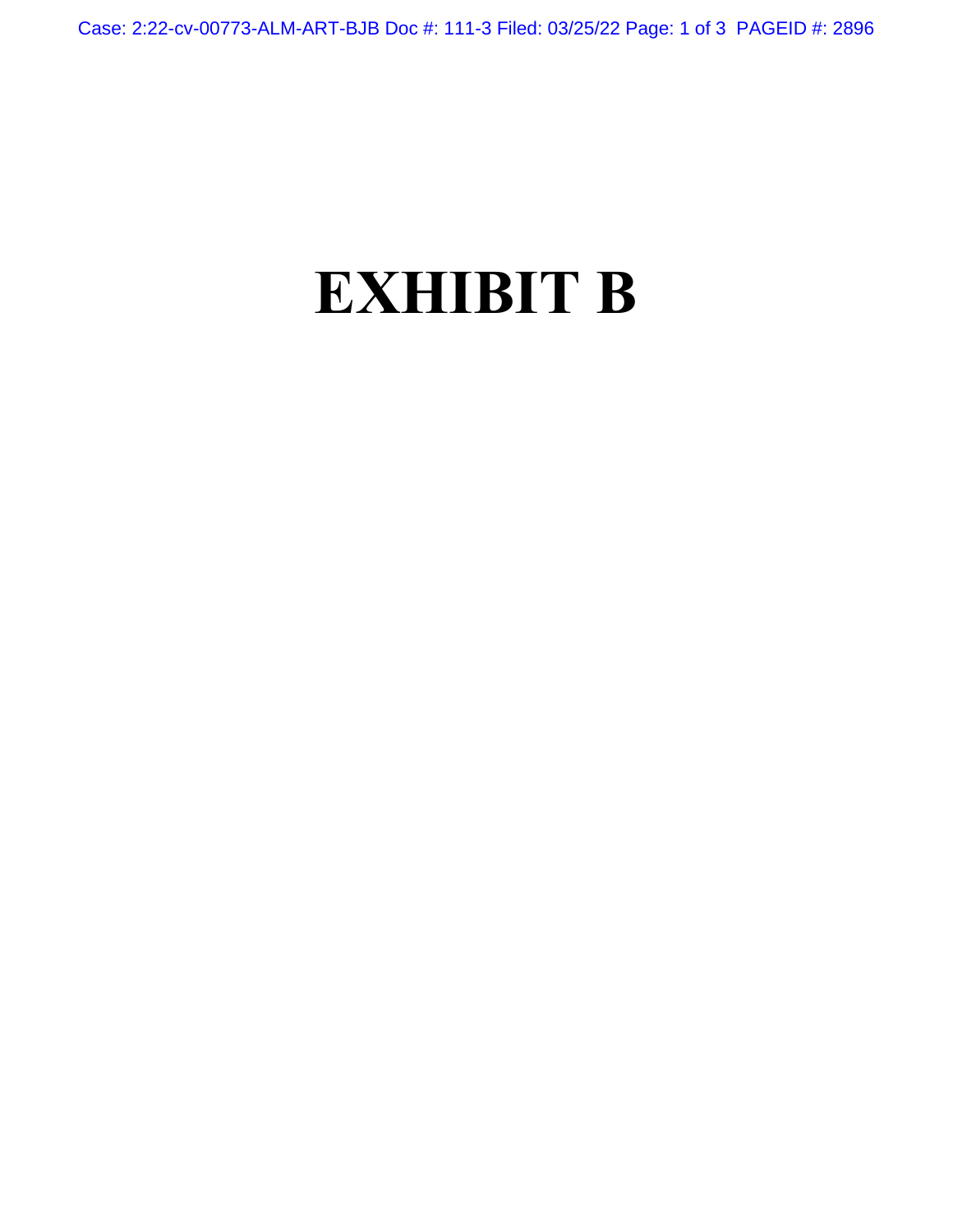Case: 2:22-cv-00773-ALM-ART-BJB Doc #: 111-3 Filed: 03/25/22 Page: 1 of 3 PAGEID #: 2896

## **EXHIBIT B**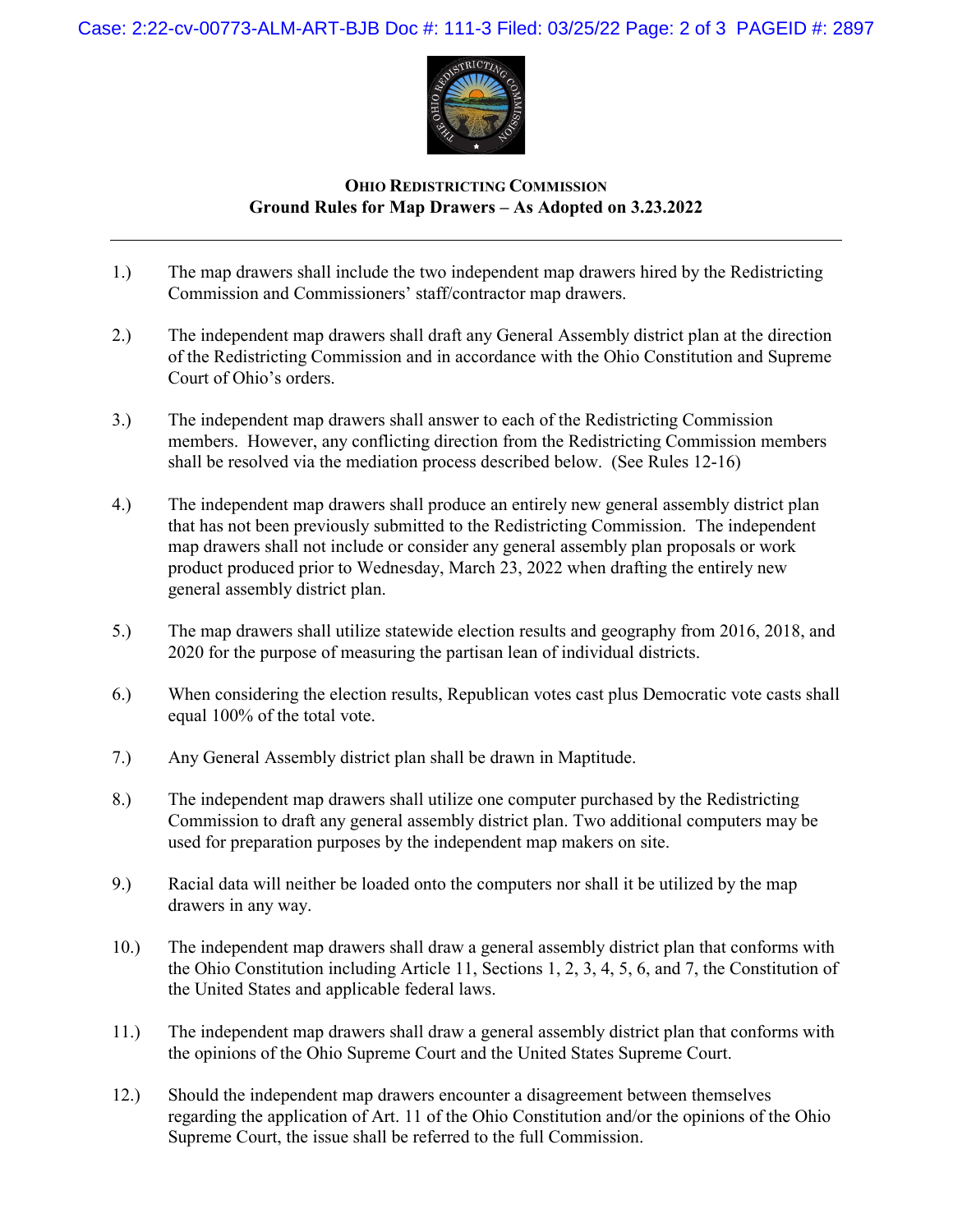Case: 2:22-cv-00773-ALM-ART-BJB Doc #: 111-3 Filed: 03/25/22 Page: 2 of 3 PAGEID #: 2897



## **OHIO REDISTRICTING COMMISSION Ground Rules for Map Drawers – As Adopted on 3.23.2022**

- 1.) The map drawers shall include the two independent map drawers hired by the Redistricting Commission and Commissioners' staff/contractor map drawers.
- 2.) The independent map drawers shall draft any General Assembly district plan at the direction of the Redistricting Commission and in accordance with the Ohio Constitution and Supreme Court of Ohio's orders.
- 3.) The independent map drawers shall answer to each of the Redistricting Commission members. However, any conflicting direction from the Redistricting Commission members shall be resolved via the mediation process described below. (See Rules 12-16)
- 4.) The independent map drawers shall produce an entirely new general assembly district plan that has not been previously submitted to the Redistricting Commission. The independent map drawers shall not include or consider any general assembly plan proposals or work product produced prior to Wednesday, March 23, 2022 when drafting the entirely new general assembly district plan.
- 5.) The map drawers shall utilize statewide election results and geography from 2016, 2018, and 2020 for the purpose of measuring the partisan lean of individual districts.
- 6.) When considering the election results, Republican votes cast plus Democratic vote casts shall equal 100% of the total vote.
- 7.) Any General Assembly district plan shall be drawn in Maptitude.
- 8.) The independent map drawers shall utilize one computer purchased by the Redistricting Commission to draft any general assembly district plan. Two additional computers may be used for preparation purposes by the independent map makers on site.
- 9.) Racial data will neither be loaded onto the computers nor shall it be utilized by the map drawers in any way.
- 10.) The independent map drawers shall draw a general assembly district plan that conforms with the Ohio Constitution including Article 11, Sections 1, 2, 3, 4, 5, 6, and 7, the Constitution of the United States and applicable federal laws.
- 11.) The independent map drawers shall draw a general assembly district plan that conforms with the opinions of the Ohio Supreme Court and the United States Supreme Court.
- 12.) Should the independent map drawers encounter a disagreement between themselves regarding the application of Art. 11 of the Ohio Constitution and/or the opinions of the Ohio Supreme Court, the issue shall be referred to the full Commission.